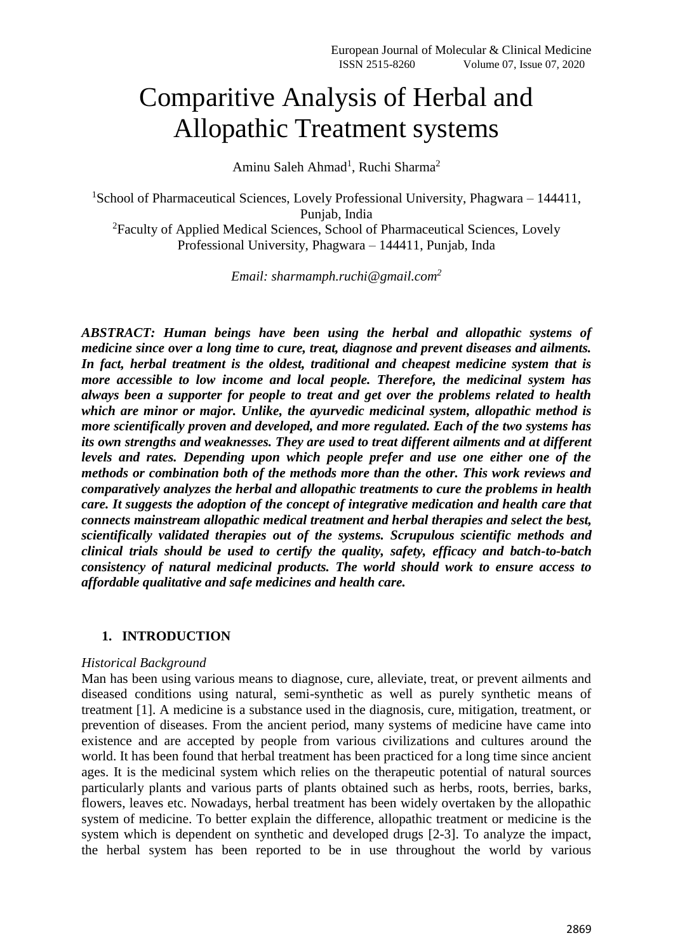# Comparitive Analysis of Herbal and Allopathic Treatment systems

Aminu Saleh Ahmad<sup>1</sup>, Ruchi Sharma<sup>2</sup>

<sup>1</sup>School of Pharmaceutical Sciences, Lovely Professional University, Phagwara – 144411, Punjab, India <sup>2</sup>Faculty of Applied Medical Sciences, School of Pharmaceutical Sciences, Lovely Professional University, Phagwara – 144411, Punjab, Inda

*Email: sharmamph.ruchi@gmail.com<sup>2</sup>*

*ABSTRACT: Human beings have been using the herbal and allopathic systems of medicine since over a long time to cure, treat, diagnose and prevent diseases and ailments. In fact, herbal treatment is the oldest, traditional and cheapest medicine system that is more accessible to low income and local people. Therefore, the medicinal system has always been a supporter for people to treat and get over the problems related to health which are minor or major. Unlike, the ayurvedic medicinal system, allopathic method is more scientifically proven and developed, and more regulated. Each of the two systems has its own strengths and weaknesses. They are used to treat different ailments and at different levels and rates. Depending upon which people prefer and use one either one of the methods or combination both of the methods more than the other. This work reviews and comparatively analyzes the herbal and allopathic treatments to cure the problems in health care. It suggests the adoption of the concept of integrative medication and health care that connects mainstream allopathic medical treatment and herbal therapies and select the best, scientifically validated therapies out of the systems. Scrupulous scientific methods and clinical trials should be used to certify the quality, safety, efficacy and batch-to-batch consistency of natural medicinal products. The world should work to ensure access to affordable qualitative and safe medicines and health care.*

# **1. INTRODUCTION**

# *Historical Background*

Man has been using various means to diagnose, cure, alleviate, treat, or prevent ailments and diseased conditions using natural, semi-synthetic as well as purely synthetic means of treatment [1]. A medicine is a substance used in the diagnosis, cure, mitigation, treatment, or prevention of diseases. From the ancient period, many systems of medicine have came into existence and are accepted by people from various civilizations and cultures around the world. It has been found that herbal treatment has been practiced for a long time since ancient ages. It is the medicinal system which relies on the therapeutic potential of natural sources particularly plants and various parts of plants obtained such as herbs, roots, berries, barks, flowers, leaves etc. Nowadays, herbal treatment has been widely overtaken by the allopathic system of medicine. To better explain the difference, allopathic treatment or medicine is the system which is dependent on synthetic and developed drugs [2-3]. To analyze the impact, the herbal system has been reported to be in use throughout the world by various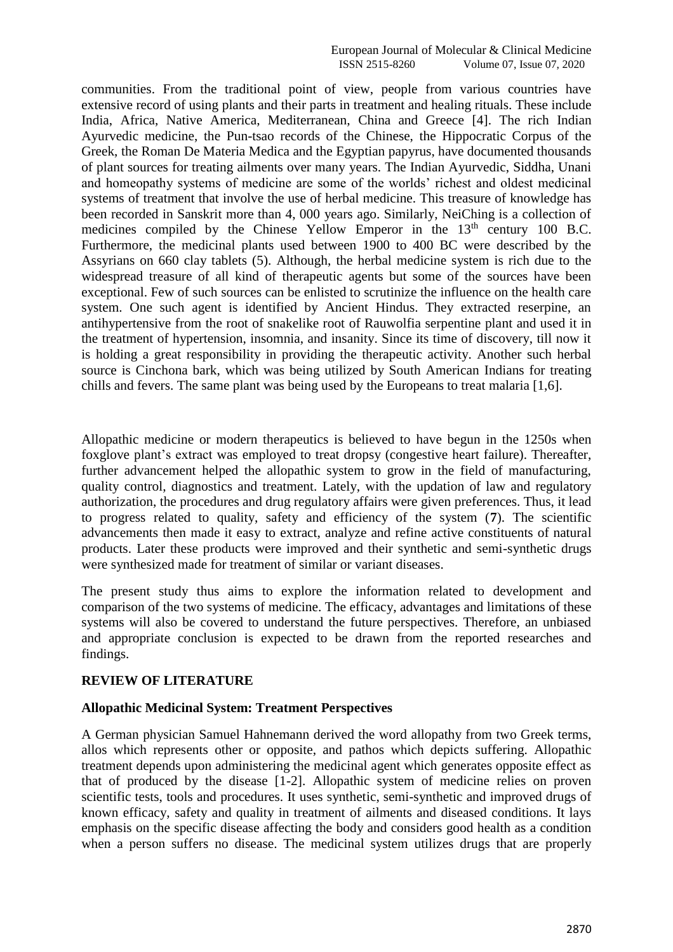communities. From the traditional point of view, people from various countries have extensive record of using plants and their parts in treatment and healing rituals. These include India, Africa, Native America, Mediterranean, China and Greece [4]. The rich Indian Ayurvedic medicine, the Pun-tsao records of the Chinese, the Hippocratic Corpus of the Greek, the Roman De Materia Medica and the Egyptian papyrus, have documented thousands of plant sources for treating ailments over many years. The Indian Ayurvedic, Siddha, Unani and homeopathy systems of medicine are some of the worlds' richest and oldest medicinal systems of treatment that involve the use of herbal medicine. This treasure of knowledge has been recorded in Sanskrit more than 4, 000 years ago. Similarly, NeiChing is a collection of medicines compiled by the Chinese Yellow Emperor in the  $13<sup>th</sup>$  century 100 B.C. Furthermore, the medicinal plants used between 1900 to 400 BC were described by the Assyrians on 660 clay tablets (5). Although, the herbal medicine system is rich due to the widespread treasure of all kind of therapeutic agents but some of the sources have been exceptional. Few of such sources can be enlisted to scrutinize the influence on the health care system. One such agent is identified by Ancient Hindus. They extracted reserpine, an antihypertensive from the root of snakelike root of Rauwolfia serpentine plant and used it in the treatment of hypertension, insomnia, and insanity. Since its time of discovery, till now it is holding a great responsibility in providing the therapeutic activity. Another such herbal source is Cinchona bark, which was being utilized by South American Indians for treating chills and fevers. The same plant was being used by the Europeans to treat malaria [1,6].

Allopathic medicine or modern therapeutics is believed to have begun in the 1250s when foxglove plant's extract was employed to treat dropsy (congestive heart failure). Thereafter, further advancement helped the allopathic system to grow in the field of manufacturing, quality control, diagnostics and treatment. Lately, with the updation of law and regulatory authorization, the procedures and drug regulatory affairs were given preferences. Thus, it lead to progress related to quality, safety and efficiency of the system (**7**). The scientific advancements then made it easy to extract, analyze and refine active constituents of natural products. Later these products were improved and their synthetic and semi-synthetic drugs were synthesized made for treatment of similar or variant diseases.

The present study thus aims to explore the information related to development and comparison of the two systems of medicine. The efficacy, advantages and limitations of these systems will also be covered to understand the future perspectives. Therefore, an unbiased and appropriate conclusion is expected to be drawn from the reported researches and findings.

# **REVIEW OF LITERATURE**

# **Allopathic Medicinal System: Treatment Perspectives**

A German physician Samuel Hahnemann derived the word allopathy from two Greek terms, allos which represents other or opposite, and pathos which depicts suffering. Allopathic treatment depends upon administering the medicinal agent which generates opposite effect as that of produced by the disease [1-2]. Allopathic system of medicine relies on proven scientific tests, tools and procedures. It uses synthetic, semi-synthetic and improved drugs of known efficacy, safety and quality in treatment of ailments and diseased conditions. It lays emphasis on the specific disease affecting the body and considers good health as a condition when a person suffers no disease. The medicinal system utilizes drugs that are properly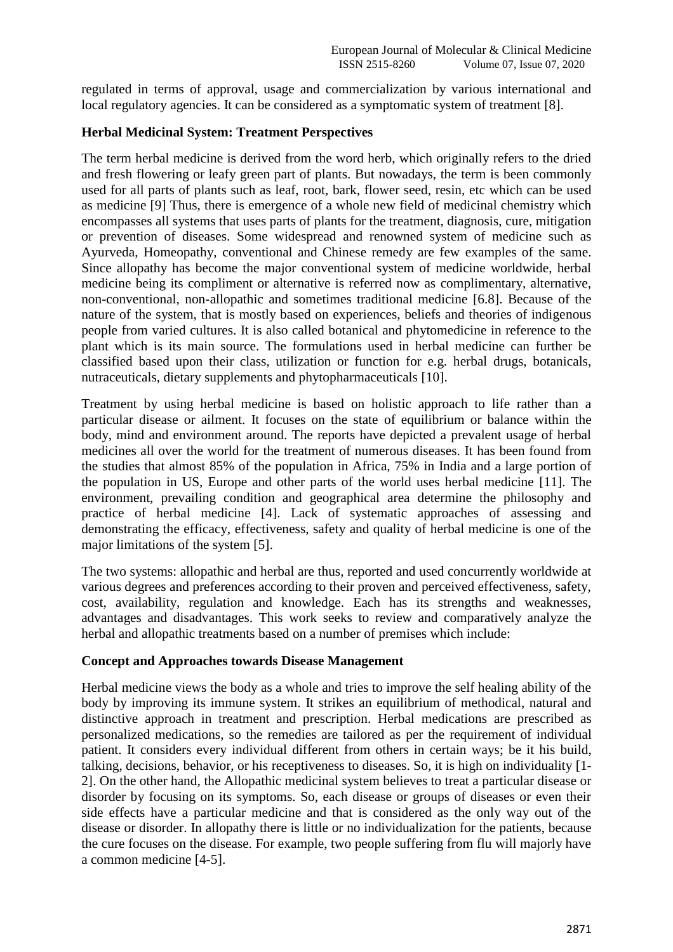regulated in terms of approval, usage and commercialization by various international and local regulatory agencies. It can be considered as a symptomatic system of treatment [8].

# **Herbal Medicinal System: Treatment Perspectives**

The term herbal medicine is derived from the word herb, which originally refers to the dried and fresh flowering or leafy green part of plants. But nowadays, the term is been commonly used for all parts of plants such as leaf, root, bark, flower seed, resin, etc which can be used as medicine [9] Thus, there is emergence of a whole new field of medicinal chemistry which encompasses all systems that uses parts of plants for the treatment, diagnosis, cure, mitigation or prevention of diseases. Some widespread and renowned system of medicine such as Ayurveda, Homeopathy, conventional and Chinese remedy are few examples of the same. Since allopathy has become the major conventional system of medicine worldwide, herbal medicine being its compliment or alternative is referred now as complimentary, alternative, non-conventional, non-allopathic and sometimes traditional medicine [6.8]. Because of the nature of the system, that is mostly based on experiences, beliefs and theories of indigenous people from varied cultures. It is also called botanical and phytomedicine in reference to the plant which is its main source. The formulations used in herbal medicine can further be classified based upon their class, utilization or function for e.g. herbal drugs, botanicals, nutraceuticals, dietary supplements and phytopharmaceuticals [10].

Treatment by using herbal medicine is based on holistic approach to life rather than a particular disease or ailment. It focuses on the state of equilibrium or balance within the body, mind and environment around. The reports have depicted a prevalent usage of herbal medicines all over the world for the treatment of numerous diseases. It has been found from the studies that almost 85% of the population in Africa, 75% in India and a large portion of the population in US, Europe and other parts of the world uses herbal medicine [11]. The environment, prevailing condition and geographical area determine the philosophy and practice of herbal medicine [4]. Lack of systematic approaches of assessing and demonstrating the efficacy, effectiveness, safety and quality of herbal medicine is one of the major limitations of the system [5].

The two systems: allopathic and herbal are thus, reported and used concurrently worldwide at various degrees and preferences according to their proven and perceived effectiveness, safety, cost, availability, regulation and knowledge. Each has its strengths and weaknesses, advantages and disadvantages. This work seeks to review and comparatively analyze the herbal and allopathic treatments based on a number of premises which include:

# **Concept and Approaches towards Disease Management**

Herbal medicine views the body as a whole and tries to improve the self healing ability of the body by improving its immune system. It strikes an equilibrium of methodical, natural and distinctive approach in treatment and prescription. Herbal medications are prescribed as personalized medications, so the remedies are tailored as per the requirement of individual patient. It considers every individual different from others in certain ways; be it his build, talking, decisions, behavior, or his receptiveness to diseases. So, it is high on individuality [1- 2]. On the other hand, the Allopathic medicinal system believes to treat a particular disease or disorder by focusing on its symptoms. So, each disease or groups of diseases or even their side effects have a particular medicine and that is considered as the only way out of the disease or disorder. In allopathy there is little or no individualization for the patients, because the cure focuses on the disease. For example, two people suffering from flu will majorly have a common medicine [4-5].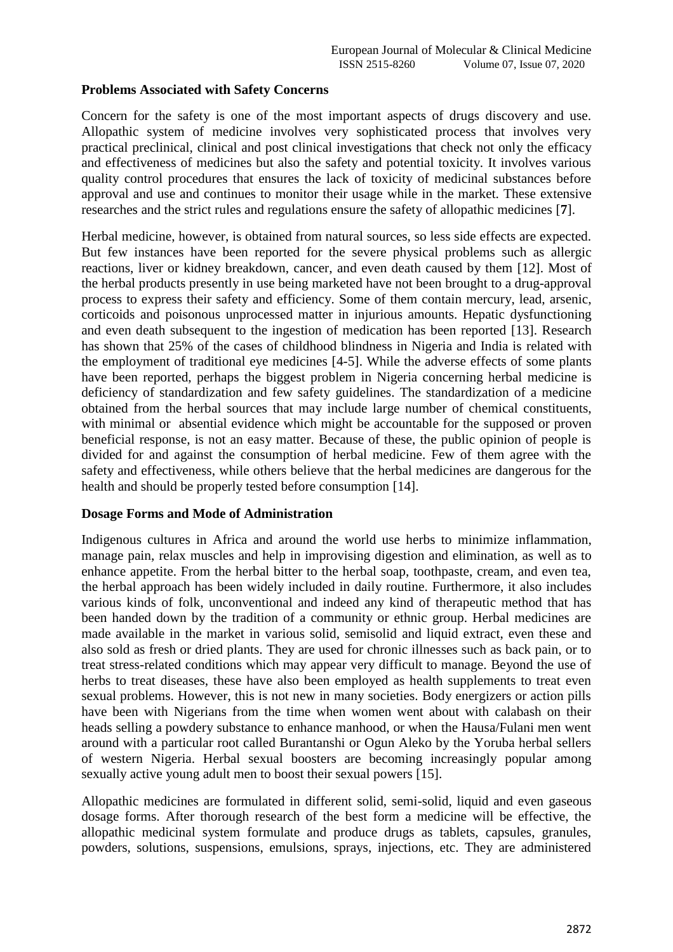# **Problems Associated with Safety Concerns**

Concern for the safety is one of the most important aspects of drugs discovery and use. Allopathic system of medicine involves very sophisticated process that involves very practical preclinical, clinical and post clinical investigations that check not only the efficacy and effectiveness of medicines but also the safety and potential toxicity. It involves various quality control procedures that ensures the lack of toxicity of medicinal substances before approval and use and continues to monitor their usage while in the market. These extensive researches and the strict rules and regulations ensure the safety of allopathic medicines [**7**].

Herbal medicine, however, is obtained from natural sources, so less side effects are expected. But few instances have been reported for the severe physical problems such as allergic reactions, liver or kidney breakdown, cancer, and even death caused by them [12]. Most of the herbal products presently in use being marketed have not been brought to a drug-approval process to express their safety and efficiency. Some of them contain mercury, lead, arsenic, corticoids and poisonous unprocessed matter in injurious amounts. Hepatic dysfunctioning and even death subsequent to the ingestion of medication has been reported [13]. Research has shown that 25% of the cases of childhood blindness in Nigeria and India is related with the employment of traditional eye medicines [4-5]. While the adverse effects of some plants have been reported, perhaps the biggest problem in Nigeria concerning herbal medicine is deficiency of standardization and few safety guidelines. The standardization of a medicine obtained from the herbal sources that may include large number of chemical constituents, with minimal or absential evidence which might be accountable for the supposed or proven beneficial response, is not an easy matter. Because of these, the public opinion of people is divided for and against the consumption of herbal medicine. Few of them agree with the safety and effectiveness, while others believe that the herbal medicines are dangerous for the health and should be properly tested before consumption [14].

# **Dosage Forms and Mode of Administration**

Indigenous cultures in Africa and around the world use herbs to minimize inflammation, manage pain, relax muscles and help in improvising digestion and elimination, as well as to enhance appetite. From the herbal bitter to the herbal soap, toothpaste, cream, and even tea, the herbal approach has been widely included in daily routine. Furthermore, it also includes various kinds of folk, unconventional and indeed any kind of therapeutic method that has been handed down by the tradition of a community or ethnic group. Herbal medicines are made available in the market in various solid, semisolid and liquid extract, even these and also sold as fresh or dried plants. They are used for chronic illnesses such as back pain, or to treat stress-related conditions which may appear very difficult to manage. Beyond the use of herbs to treat diseases, these have also been employed as health supplements to treat even sexual problems. However, this is not new in many societies. Body energizers or action pills have been with Nigerians from the time when women went about with calabash on their heads selling a powdery substance to enhance manhood, or when the Hausa/Fulani men went around with a particular root called Burantanshi or Ogun Aleko by the Yoruba herbal sellers of western Nigeria. Herbal sexual boosters are becoming increasingly popular among sexually active young adult men to boost their sexual powers [15].

Allopathic medicines are formulated in different solid, semi-solid, liquid and even gaseous dosage forms. After thorough research of the best form a medicine will be effective, the allopathic medicinal system formulate and produce drugs as tablets, capsules, granules, powders, solutions, suspensions, emulsions, sprays, injections, etc. They are administered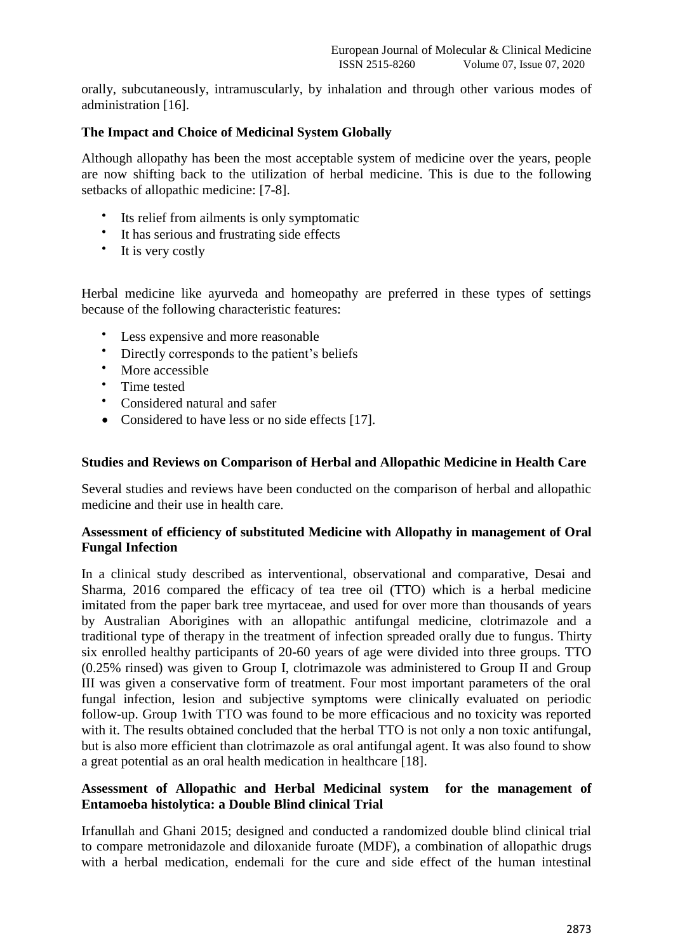orally, subcutaneously, intramuscularly, by inhalation and through other various modes of administration [16].

# **The Impact and Choice of Medicinal System Globally**

Although allopathy has been the most acceptable system of medicine over the years, people are now shifting back to the utilization of herbal medicine. This is due to the following setbacks of allopathic medicine: [7-8].

- Its relief from ailments is only symptomatic
- It has serious and frustrating side effects
- It is very costly

Herbal medicine like ayurveda and homeopathy are preferred in these types of settings because of the following characteristic features:

- Less expensive and more reasonable
- Directly corresponds to the patient's beliefs
- More accessible
- Time tested
- Considered natural and safer
- Considered to have less or no side effects [17].

# **Studies and Reviews on Comparison of Herbal and Allopathic Medicine in Health Care**

Several studies and reviews have been conducted on the comparison of herbal and allopathic medicine and their use in health care.

# **Assessment of efficiency of substituted Medicine with Allopathy in management of Oral Fungal Infection**

In a clinical study described as interventional, observational and comparative, Desai and Sharma, 2016 compared the efficacy of tea tree oil (TTO) which is a herbal medicine imitated from the paper bark tree myrtaceae, and used for over more than thousands of years by Australian Aborigines with an allopathic antifungal medicine, clotrimazole and a traditional type of therapy in the treatment of infection spreaded orally due to fungus. Thirty six enrolled healthy participants of 20-60 years of age were divided into three groups. TTO (0.25% rinsed) was given to Group I, clotrimazole was administered to Group II and Group III was given a conservative form of treatment. Four most important parameters of the oral fungal infection, lesion and subjective symptoms were clinically evaluated on periodic follow-up. Group 1with TTO was found to be more efficacious and no toxicity was reported with it. The results obtained concluded that the herbal TTO is not only a non toxic antifungal, but is also more efficient than clotrimazole as oral antifungal agent. It was also found to show a great potential as an oral health medication in healthcare [18].

# **Assessment of Allopathic and Herbal Medicinal system for the management of Entamoeba histolytica: a Double Blind clinical Trial**

Irfanullah and Ghani 2015; designed and conducted a randomized double blind clinical trial to compare metronidazole and diloxanide furoate (MDF), a combination of allopathic drugs with a herbal medication, endemali for the cure and side effect of the human intestinal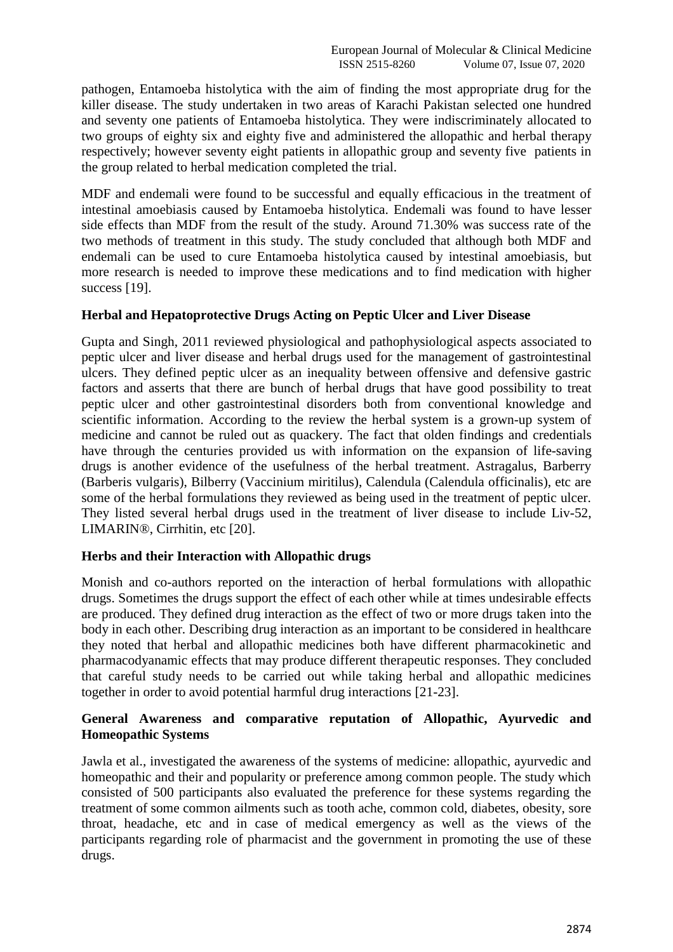pathogen, Entamoeba histolytica with the aim of finding the most appropriate drug for the killer disease. The study undertaken in two areas of Karachi Pakistan selected one hundred and seventy one patients of Entamoeba histolytica. They were indiscriminately allocated to two groups of eighty six and eighty five and administered the allopathic and herbal therapy respectively; however seventy eight patients in allopathic group and seventy five patients in the group related to herbal medication completed the trial.

MDF and endemali were found to be successful and equally efficacious in the treatment of intestinal amoebiasis caused by Entamoeba histolytica. Endemali was found to have lesser side effects than MDF from the result of the study. Around 71.30% was success rate of the two methods of treatment in this study. The study concluded that although both MDF and endemali can be used to cure Entamoeba histolytica caused by intestinal amoebiasis, but more research is needed to improve these medications and to find medication with higher success [19].

# **Herbal and Hepatoprotective Drugs Acting on Peptic Ulcer and Liver Disease**

Gupta and Singh, 2011 reviewed physiological and pathophysiological aspects associated to peptic ulcer and liver disease and herbal drugs used for the management of gastrointestinal ulcers. They defined peptic ulcer as an inequality between offensive and defensive gastric factors and asserts that there are bunch of herbal drugs that have good possibility to treat peptic ulcer and other gastrointestinal disorders both from conventional knowledge and scientific information. According to the review the herbal system is a grown-up system of medicine and cannot be ruled out as quackery. The fact that olden findings and credentials have through the centuries provided us with information on the expansion of life-saving drugs is another evidence of the usefulness of the herbal treatment. Astragalus, Barberry (Barberis vulgaris), Bilberry (Vaccinium miritilus), Calendula (Calendula officinalis), etc are some of the herbal formulations they reviewed as being used in the treatment of peptic ulcer. They listed several herbal drugs used in the treatment of liver disease to include Liv-52, LIMARIN®, Cirrhitin, etc [20].

# **Herbs and their Interaction with Allopathic drugs**

Monish and co-authors reported on the interaction of herbal formulations with allopathic drugs. Sometimes the drugs support the effect of each other while at times undesirable effects are produced. They defined drug interaction as the effect of two or more drugs taken into the body in each other. Describing drug interaction as an important to be considered in healthcare they noted that herbal and allopathic medicines both have different pharmacokinetic and pharmacodyanamic effects that may produce different therapeutic responses. They concluded that careful study needs to be carried out while taking herbal and allopathic medicines together in order to avoid potential harmful drug interactions [21-23].

# **General Awareness and comparative reputation of Allopathic, Ayurvedic and Homeopathic Systems**

Jawla et al., investigated the awareness of the systems of medicine: allopathic, ayurvedic and homeopathic and their and popularity or preference among common people. The study which consisted of 500 participants also evaluated the preference for these systems regarding the treatment of some common ailments such as tooth ache, common cold, diabetes, obesity, sore throat, headache, etc and in case of medical emergency as well as the views of the participants regarding role of pharmacist and the government in promoting the use of these drugs.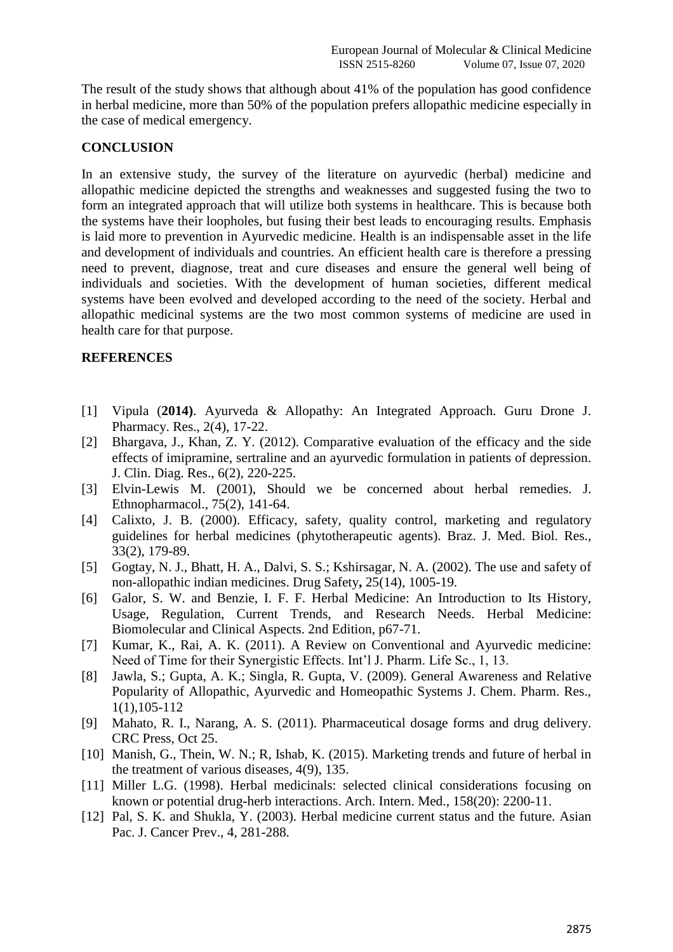The result of the study shows that although about 41% of the population has good confidence in herbal medicine, more than 50% of the population prefers allopathic medicine especially in the case of medical emergency.

# **CONCLUSION**

In an extensive study, the survey of the literature on ayurvedic (herbal) medicine and allopathic medicine depicted the strengths and weaknesses and suggested fusing the two to form an integrated approach that will utilize both systems in healthcare. This is because both the systems have their loopholes, but fusing their best leads to encouraging results. Emphasis is laid more to prevention in Ayurvedic medicine. Health is an indispensable asset in the life and development of individuals and countries. An efficient health care is therefore a pressing need to prevent, diagnose, treat and cure diseases and ensure the general well being of individuals and societies. With the development of human societies, different medical systems have been evolved and developed according to the need of the society. Herbal and allopathic medicinal systems are the two most common systems of medicine are used in health care for that purpose.

# **REFERENCES**

- [1] Vipula (**2014)**. Ayurveda & Allopathy: An Integrated Approach. Guru Drone J. Pharmacy. Res., 2(4), 17-22.
- [2] Bhargava, J., Khan, Z. Y. (2012). Comparative evaluation of the efficacy and the side effects of imipramine, sertraline and an ayurvedic formulation in patients of depression. J. Clin. Diag. Res., 6(2), 220-225.
- [3] Elvin-Lewis M. (2001), Should we be concerned about herbal remedies. J. Ethnopharmacol., 75(2), 141-64.
- [4] Calixto, J. B. (2000). Efficacy, safety, quality control, marketing and regulatory guidelines for herbal medicines (phytotherapeutic agents). Braz. J. Med. Biol. Res., 33(2), 179-89.
- [5] Gogtay, N. J., Bhatt, H. A., Dalvi, S. S.; Kshirsagar, N. A. (2002). The use and safety of non-allopathic indian medicines. Drug Safety**,** 25(14), 1005-19.
- [6] Galor, S. W. and Benzie, I. F. F. Herbal Medicine: An Introduction to Its History, Usage, Regulation, Current Trends, and Research Needs. Herbal Medicine: Biomolecular and Clinical Aspects. 2nd Edition, p67-71.
- [7] Kumar, K., Rai, A. K. (2011). A Review on Conventional and Ayurvedic medicine: Need of Time for their Synergistic Effects. Int'l J. Pharm. Life Sc., 1, 13.
- [8] Jawla, S.; Gupta, A. K.; Singla, R. Gupta, V. (2009). General Awareness and Relative Popularity of Allopathic, Ayurvedic and Homeopathic Systems J. Chem. Pharm. Res., 1(1),105-112
- [9] Mahato, R. I., Narang, A. S. (2011). Pharmaceutical dosage forms and drug delivery. CRC Press, Oct 25.
- [10] Manish, G., Thein, W. N.; R, Ishab, K. (2015). Marketing trends and future of herbal in the treatment of various diseases, 4(9), 135.
- [11] Miller L.G. (1998). Herbal medicinals: selected clinical considerations focusing on known or potential drug-herb interactions. Arch. Intern. Med., 158(20): 2200-11.
- [12] Pal, S. K. and Shukla, Y. (2003). Herbal medicine current status and the future. Asian Pac. J. Cancer Prev., 4, 281-288.